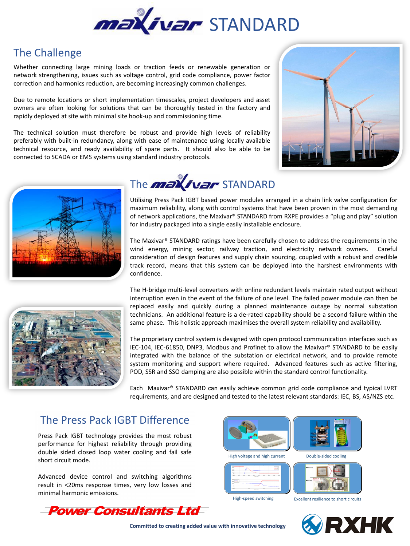## The Challenge

Whether connecting large mining loads or traction feeds or renewable generation or network strengthening, issues such as voltage control, grid code compliance, power factor correction and harmonics reduction, are becoming increasingly common challenges.

Due to remote locations or short implementation timescales, project developers and asset owners are often looking for solutions that can be thoroughly tested in the factory and rapidly deployed at site with minimal site hook-up and commissioning time.

The technical solution must therefore be robust and provide high levels of reliability preferably with built-in redundancy, along with ease of maintenance using locally available technical resource, and ready availability of spare parts. It should also be able to be connected to SCADA or EMS systems using standard industry protocols.





Utilising Press Pack IGBT based power modules arranged in a chain link valve configuration for maximum reliability, along with control systems that have been proven in the most demanding of network applications, the Maxivar® STANDARD from RXPE provides a "plug and play" solution for industry packaged into a single easily installable enclosure.

The Maxivar® STANDARD ratings have been carefully chosen to address the requirements in the wind energy, mining sector, railway traction, and electricity network owners. Careful consideration of design features and supply chain sourcing, coupled with a robust and credible track record, means that this system can be deployed into the harshest environments with confidence.



The H-bridge multi-level converters with online redundant levels maintain rated output without interruption even in the event of the failure of one level. The failed power module can then be replaced easily and quickly during a planned maintenance outage by normal substation technicians. An additional feature is a de-rated capability should be a second failure within the same phase. This holistic approach maximises the overall system reliability and availability.



The proprietary control system is designed with open protocol communication interfaces such as IEC-104, IEC-61850, DNP3, Modbus and Profinet to allow the Maxivar® STANDARD to be easily integrated with the balance of the substation or electrical network, and to provide remote system monitoring and support where required. Advanced features such as active filtering, POD, SSR and SSO damping are also possible within the standard control functionality.



Each Maxivar® STANDARD can easily achieve common grid code compliance and typical LVRT requirements, and are designed and tested to the latest relevant standards: IEC, BS, AS/NZS etc.

Double-sided cooling







High-speed switching Excellent resilience to short circuits

High voltage and high current

## The Press Pack IGBT Difference

Press Pack IGBT technology provides the most robust performance for highest reliability through providing double sided closed loop water cooling and fail safe short circuit mode.

Advanced device control and switching algorithms result in <20ms response times, very low losses and minimal harmonic emissions.





**Committed to creating added value with innovative technology**